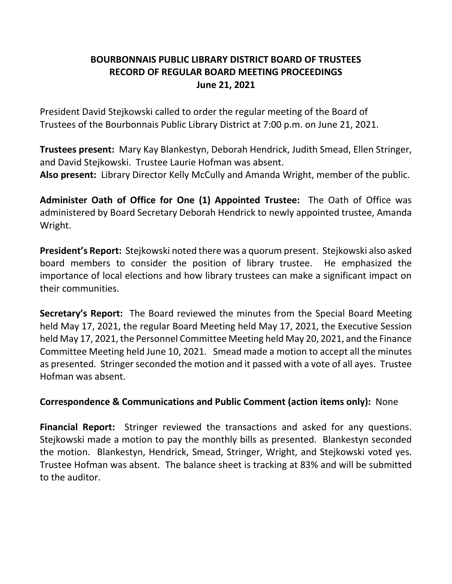# **BOURBONNAIS PUBLIC LIBRARY DISTRICT BOARD OF TRUSTEES RECORD OF REGULAR BOARD MEETING PROCEEDINGS June 21, 2021**

President David Stejkowski called to order the regular meeting of the Board of Trustees of the Bourbonnais Public Library District at 7:00 p.m. on June 21, 2021.

**Trustees present:** Mary Kay Blankestyn, Deborah Hendrick, Judith Smead, Ellen Stringer, and David Stejkowski. Trustee Laurie Hofman was absent. **Also present:** Library Director Kelly McCully and Amanda Wright, member of the public.

**Administer Oath of Office for One (1) Appointed Trustee:** The Oath of Office was administered by Board Secretary Deborah Hendrick to newly appointed trustee, Amanda Wright.

**President's Report:** Stejkowski noted there was a quorum present. Stejkowski also asked board members to consider the position of library trustee. He emphasized the importance of local elections and how library trustees can make a significant impact on their communities.

**Secretary's Report:** The Board reviewed the minutes from the Special Board Meeting held May 17, 2021, the regular Board Meeting held May 17, 2021, the Executive Session held May 17, 2021, the Personnel Committee Meeting held May 20, 2021, and the Finance Committee Meeting held June 10, 2021. Smead made a motion to accept all the minutes as presented. Stringer seconded the motion and it passed with a vote of all ayes. Trustee Hofman was absent.

## **Correspondence & Communications and Public Comment (action items only):** None

**Financial Report:** Stringer reviewed the transactions and asked for any questions. Stejkowski made a motion to pay the monthly bills as presented. Blankestyn seconded the motion. Blankestyn, Hendrick, Smead, Stringer, Wright, and Stejkowski voted yes. Trustee Hofman was absent. The balance sheet is tracking at 83% and will be submitted to the auditor.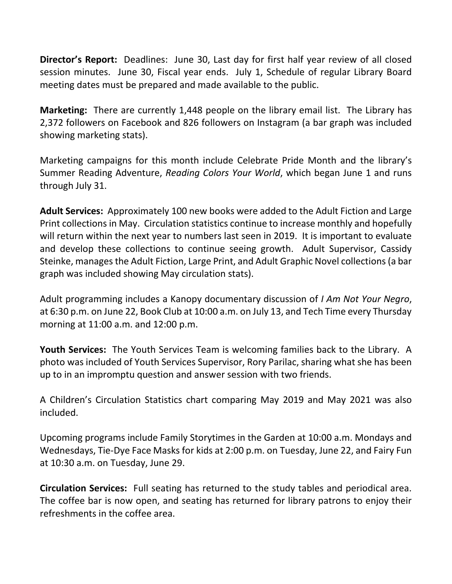**Director's Report:** Deadlines: June 30, Last day for first half year review of all closed session minutes. June 30, Fiscal year ends. July 1, Schedule of regular Library Board meeting dates must be prepared and made available to the public.

**Marketing:** There are currently 1,448 people on the library email list. The Library has 2,372 followers on Facebook and 826 followers on Instagram (a bar graph was included showing marketing stats).

Marketing campaigns for this month include Celebrate Pride Month and the library's Summer Reading Adventure, *Reading Colors Your World*, which began June 1 and runs through July 31.

**Adult Services:** Approximately 100 new books were added to the Adult Fiction and Large Print collections in May. Circulation statistics continue to increase monthly and hopefully will return within the next year to numbers last seen in 2019. It is important to evaluate and develop these collections to continue seeing growth. Adult Supervisor, Cassidy Steinke, manages the Adult Fiction, Large Print, and Adult Graphic Novel collections (a bar graph was included showing May circulation stats).

Adult programming includes a Kanopy documentary discussion of *I Am Not Your Negro*, at 6:30 p.m. on June 22, Book Club at 10:00 a.m. on July 13, and Tech Time every Thursday morning at 11:00 a.m. and 12:00 p.m.

**Youth Services:** The Youth Services Team is welcoming families back to the Library. A photo was included of Youth Services Supervisor, Rory Parilac, sharing what she has been up to in an impromptu question and answer session with two friends.

A Children's Circulation Statistics chart comparing May 2019 and May 2021 was also included.

Upcoming programs include Family Storytimes in the Garden at 10:00 a.m. Mondays and Wednesdays, Tie-Dye Face Masks for kids at 2:00 p.m. on Tuesday, June 22, and Fairy Fun at 10:30 a.m. on Tuesday, June 29.

**Circulation Services:** Full seating has returned to the study tables and periodical area. The coffee bar is now open, and seating has returned for library patrons to enjoy their refreshments in the coffee area.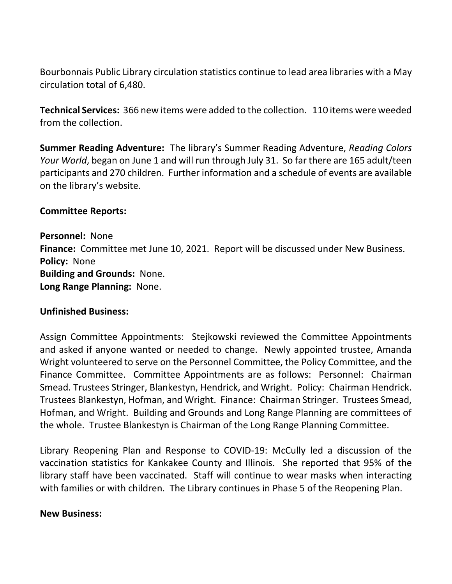Bourbonnais Public Library circulation statistics continue to lead area libraries with a May circulation total of 6,480.

**Technical Services:** 366 new items were added to the collection. 110 items were weeded from the collection.

**Summer Reading Adventure:** The library's Summer Reading Adventure, *Reading Colors Your World*, began on June 1 and will run through July 31. So far there are 165 adult/teen participants and 270 children. Further information and a schedule of events are available on the library's website.

## **Committee Reports:**

**Personnel:** None **Finance:** Committee met June 10, 2021. Report will be discussed under New Business. **Policy:** None **Building and Grounds:** None. **Long Range Planning:** None.

### **Unfinished Business:**

Assign Committee Appointments: Stejkowski reviewed the Committee Appointments and asked if anyone wanted or needed to change. Newly appointed trustee, Amanda Wright volunteered to serve on the Personnel Committee, the Policy Committee, and the Finance Committee. Committee Appointments are as follows: Personnel: Chairman Smead. Trustees Stringer, Blankestyn, Hendrick, and Wright. Policy: Chairman Hendrick. Trustees Blankestyn, Hofman, and Wright. Finance: Chairman Stringer. Trustees Smead, Hofman, and Wright. Building and Grounds and Long Range Planning are committees of the whole. Trustee Blankestyn is Chairman of the Long Range Planning Committee.

Library Reopening Plan and Response to COVID-19: McCully led a discussion of the vaccination statistics for Kankakee County and Illinois. She reported that 95% of the library staff have been vaccinated. Staff will continue to wear masks when interacting with families or with children. The Library continues in Phase 5 of the Reopening Plan.

### **New Business:**